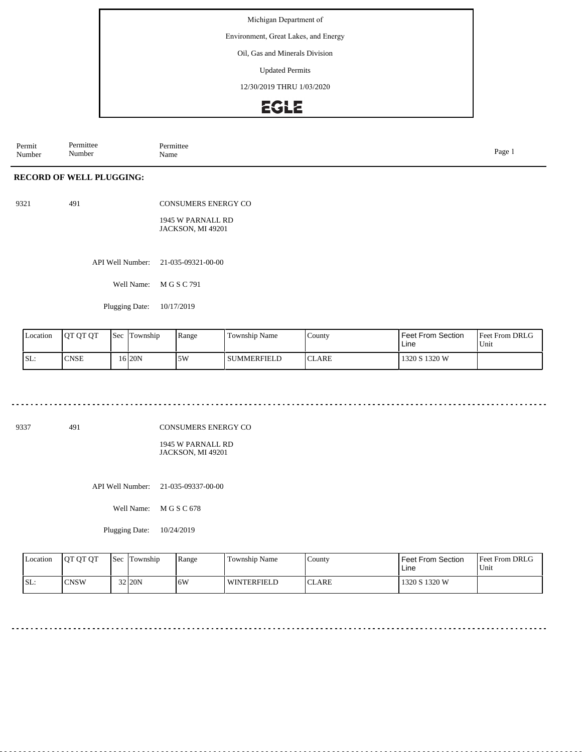Environment, Great Lakes, and Energy

Oil, Gas and Minerals Division

Updated Permits

12/30/2019 THRU 1/03/2020

### EGLE

Permit Number Permittee Number Permittee<br>Name nde and the page 1 and the page 1 and the page 1 and the page 1 and the page 1 and the page 1

#### **RECORD OF WELL PLUGGING:**

491

CONSUMERS ENERGY CO

1945 W PARNALL RD JACKSON, MI 49201

API Well Number: 21-035-09321-00-00

Well Name: M G S C 791

Plugging Date: 10/17/2019

| <b>Location</b> | <b>IOT OT OT</b> | <b>Sec</b> | Township          | Range | <b>Township Name</b> | County        | Feet From Section<br>Line | Feet From DRLG<br>Unit |
|-----------------|------------------|------------|-------------------|-------|----------------------|---------------|---------------------------|------------------------|
| ISL:            | <b>CNSE</b>      |            | 16 <sub>20N</sub> | 5W    | l summerfield        | <b>ICLARE</b> | 1320 S 1320 W             |                        |

9337 491

CONSUMERS ENERGY CO

1945 W PARNALL RD JACKSON, MI 49201

API Well Number: 21-035-09337-00-00

Well Name: M G S C 678

Plugging Date: 10/24/2019

| Location | <b>IOT OT OT</b> | <b>Sec</b> | Township            | Range | Township Name      | County | <b>Feet From Section</b><br>Line | <b>Feet From DRLG</b><br>Unit |
|----------|------------------|------------|---------------------|-------|--------------------|--------|----------------------------------|-------------------------------|
| SL:      | <b>CNSW</b>      |            | $32$ <sub>20N</sub> | 6W    | <b>WINTERFIELD</b> | ICLARE | 1320 S 1320 W                    |                               |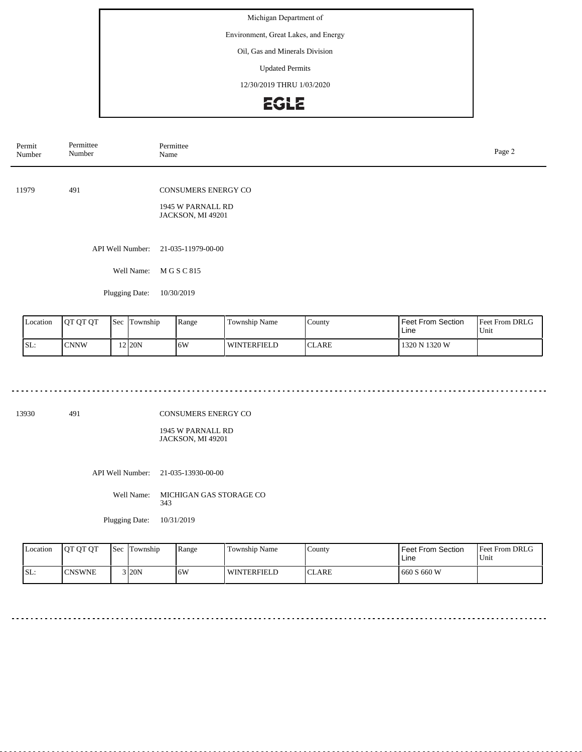Environment, Great Lakes, and Energy

Oil, Gas and Minerals Division

Updated Permits

12/30/2019 THRU 1/03/2020

### **EGLE**

| Permit<br>Number | Permittee<br>Number | Permittee<br>Name                                                           | Page 2 |
|------------------|---------------------|-----------------------------------------------------------------------------|--------|
| 11979            | 491                 | <b>CONSUMERS ENERGY CO</b><br>1945 W PARNALL RD<br><b>JACKSON, MI 49201</b> |        |
|                  | API Well Number:    | 21-035-11979-00-00                                                          |        |
|                  | Well Name:          | M G S C 815                                                                 |        |
|                  | Plugging Date:      | 10/30/2019                                                                  |        |
|                  |                     |                                                                             |        |

| Location | <b>OT OT OT</b> | <b>Sec</b> | Township | Range | <b>Township Name</b> | County          | <b>Feet From Section</b><br>Line | <b>Feet From DRLG</b><br>Unit |
|----------|-----------------|------------|----------|-------|----------------------|-----------------|----------------------------------|-------------------------------|
| ISL:     | <b>CNNW</b>     |            | $2$  20N | .6W   | l winterfield        | $\cap$<br>CLARE | 1320 N 1320 W                    |                               |

<u>. . . . . . . . . . . . .</u>

13930 491

CONSUMERS ENERGY CO

1945 W PARNALL RD JACKSON, MI 49201

API Well Number: 21-035-13930-00-00

Well Name: MICHIGAN GAS STORAGE CO 343

Plugging Date: 10/31/2019

<u>. . . . . . . .</u>

| <i>Location</i> | <b>OT OT OT</b> | <b>Sec</b> | Township | Range | Township Name      | County       | Feet From Section<br>Line | <b>Feet From DRLG</b><br>Unit |
|-----------------|-----------------|------------|----------|-------|--------------------|--------------|---------------------------|-------------------------------|
| SL:             | <b>CNSWNE</b>   |            | 3120N    | 6W    | <b>WINTERFIELD</b> | <b>CLARE</b> | 660 S 660 W               |                               |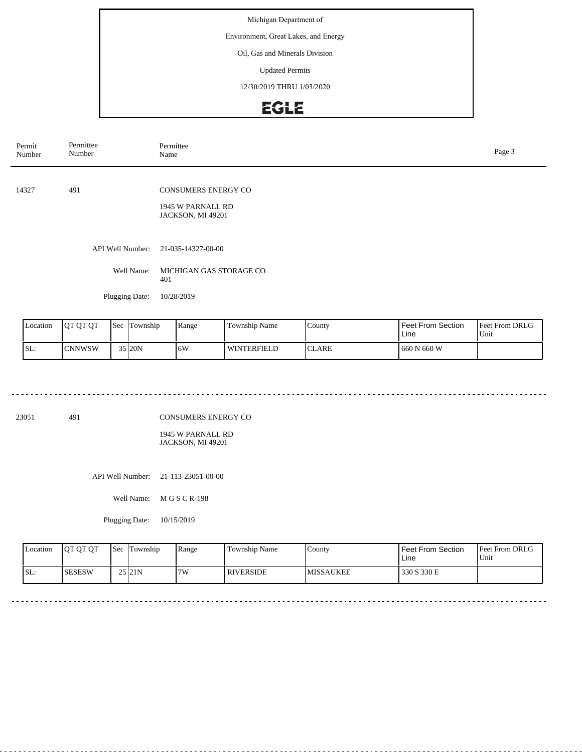Environment, Great Lakes, and Energy

#### Oil, Gas and Minerals Division

Updated Permits

12/30/2019 THRU 1/03/2020

# EGLE

| Permit<br>Number | Permittee<br>Number | Permittee<br>Name                                                    | Page 3 |
|------------------|---------------------|----------------------------------------------------------------------|--------|
| 14327            | 491                 | <b>CONSUMERS ENERGY CO</b><br>1945 W PARNALL RD<br>JACKSON, MI 49201 |        |
|                  | API Well Number:    | 21-035-14327-00-00                                                   |        |
|                  | Well Name:          | MICHIGAN GAS STORAGE CO<br>401                                       |        |
|                  | Plugging Date:      | 10/28/2019                                                           |        |

| Location | <b>OT OT OT</b> | 'Sec | lm<br>Township | Range | <b>Township Name</b> | County                       | <b>Feet From Section</b><br>Line | <b>Feet From DRLG</b><br>Unit |
|----------|-----------------|------|----------------|-------|----------------------|------------------------------|----------------------------------|-------------------------------|
| SL:      | <b>CNNWSW</b>   |      | $35$ 20N       | 16W   | <b>WINTERFIELD</b>   | $\mathbf{C}$<br><b>CLARE</b> | . 660 N 660 W                    |                               |

23051 491

CONSUMERS ENERGY CO

1945 W PARNALL RD JACKSON, MI 49201

API Well Number: 21-113-23051-00-00

Well Name: M G S C R-198

Plugging Date: 10/15/2019

| Location | <b>OT OT OT</b> | <b>Sec</b> Township | Range | Township Name    | County            | l Feet From Section<br>Line | <b>Feet From DRLG</b><br>Unit |
|----------|-----------------|---------------------|-------|------------------|-------------------|-----------------------------|-------------------------------|
| SL:      | <b>ISESESW</b>  | 25121N              | 17W   | <b>RIVERSIDE</b> | <b>IMISSAUKEE</b> | 330 S 330 E                 |                               |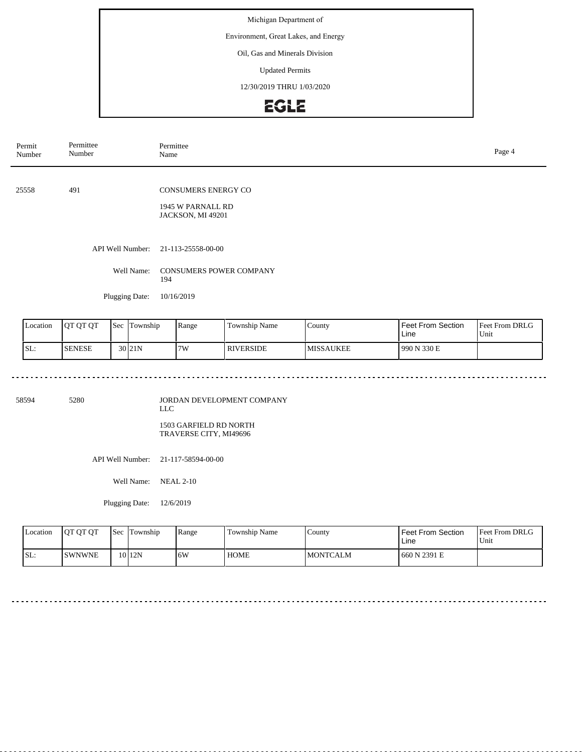Environment, Great Lakes, and Energy

#### Oil, Gas and Minerals Division

Updated Permits

12/30/2019 THRU 1/03/2020

# **EGLE**

| Permit<br>Number | Permittee<br>Number                                                                                 | Permittee<br>Name                                         |                                        |  |  |  |  |
|------------------|-----------------------------------------------------------------------------------------------------|-----------------------------------------------------------|----------------------------------------|--|--|--|--|
|                  |                                                                                                     |                                                           |                                        |  |  |  |  |
| 25558            | 491                                                                                                 | <b>CONSUMERS ENERGY CO</b>                                |                                        |  |  |  |  |
|                  |                                                                                                     | 1945 W PARNALL RD<br>JACKSON, MI 49201                    |                                        |  |  |  |  |
|                  |                                                                                                     |                                                           |                                        |  |  |  |  |
|                  | API Well Number:                                                                                    | 21-113-25558-00-00                                        |                                        |  |  |  |  |
|                  | Well Name:                                                                                          | <b>CONSUMERS POWER COMPANY</b><br>194                     |                                        |  |  |  |  |
|                  | Plugging Date:                                                                                      | 10/16/2019                                                |                                        |  |  |  |  |
| le anno          | $\mathbf{I}_\alpha$ $\mathbf{I}_\mathbf{m}$ $\mathbf{I}_\alpha$<br>$\alpha$ m $\alpha$ m $\alpha$ m | $    -$<br>$\mathbf{L}$<br>$\sim$ $\sim$<br>المحافظ المعا | $\mathbf{F}$ $\mathbf{F}$ $\mathbf{F}$ |  |  |  |  |

| Location | <b>JOT OT OT</b> | l Sec | Township            | Range | Township Name    | County           | <b>Feet From Section</b><br>Line | <b>Feet From DRLG</b><br>'Unit |
|----------|------------------|-------|---------------------|-------|------------------|------------------|----------------------------------|--------------------------------|
| SL:      | <b>SENESE</b>    |       | 30 <sub>121</sub> N | 7W    | <b>RIVERSIDE</b> | <b>MISSAUKEE</b> | 1990 N 330 E                     |                                |

58594 5280

 $\sim$   $\sim$ 

JORDAN DEVELOPMENT COMPANY LLC 1503 GARFIELD RD NORTH TRAVERSE CITY, MI49696

API Well Number: 21-117-58594-00-00

 $AL$  2-10

| Location | <b>JOT OT OT</b> | <b>Sec</b> | Township          | Range | Township Name | County           | l Feet From Section<br>Line | <b>Feet From DRLG</b><br>Unit |
|----------|------------------|------------|-------------------|-------|---------------|------------------|-----------------------------|-------------------------------|
| SL:      | ISWNWNE          |            | 10 <sub>12N</sub> | 6W    | <b>HOME</b>   | <b>IMONTCALM</b> | 1660 N 2391 E               |                               |

| Well Name: NEA |  |
|----------------|--|
|                |  |

Plugging Date: 12/6/2019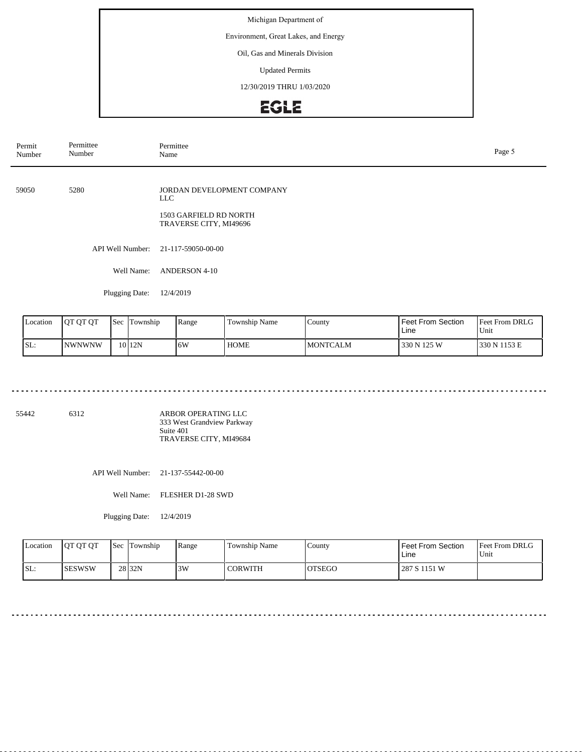Environment, Great Lakes, and Energy

#### Oil, Gas and Minerals Division

Updated Permits

12/30/2019 THRU 1/03/2020

# **EGLE**

| Permit<br>Number | Permittee<br>Number | Permittee<br>Name                                                                      | Page 5 |
|------------------|---------------------|----------------------------------------------------------------------------------------|--------|
| 59050            | 5280                | JORDAN DEVELOPMENT COMPANY<br>LLC.<br>1503 GARFIELD RD NORTH<br>TRAVERSE CITY, MI49696 |        |
|                  | API Well Number:    | 21-117-59050-00-00                                                                     |        |
|                  | Well Name:          | <b>ANDERSON 4-10</b>                                                                   |        |
|                  | Plugging Date:      | 12/4/2019                                                                              |        |

| Location | <b>OT OT OT</b> | Sec | Township  | Range | <b>Township Name</b> | County           | Feet From Section<br>Line | Feet From DRLG<br>Unit |
|----------|-----------------|-----|-----------|-------|----------------------|------------------|---------------------------|------------------------|
| SL:      | <b>NWNWNW</b>   |     | $10$  12N | 6W    | <b>HOME</b>          | <b>IMONTCALM</b> | 330 N 125 W               | 330 N 1153 E           |

55442 6312

ARBOR OPERATING LLC 333 West Grandview Parkway Suite 401 TRAVERSE CITY, MI49684

API Well Number: 21-137-55442-00-00

Well Name: FLESHER D1-28 SWD

Plugging Date: 12/4/2019

<u>. . . . . . . . . . . . . . . . . . .</u>

| Location | <b>OT OT OT</b> | Sec Township      | Range | Township Name  | County  | Feet From Section<br>Line | <b>Feet From DRLG</b><br>Unit |
|----------|-----------------|-------------------|-------|----------------|---------|---------------------------|-------------------------------|
| SL:      | <b>ISESWSW</b>  | 28 <sub>32N</sub> | 3W    | <b>CORWITH</b> | IOTSEGO | 1287 S 1151 W             |                               |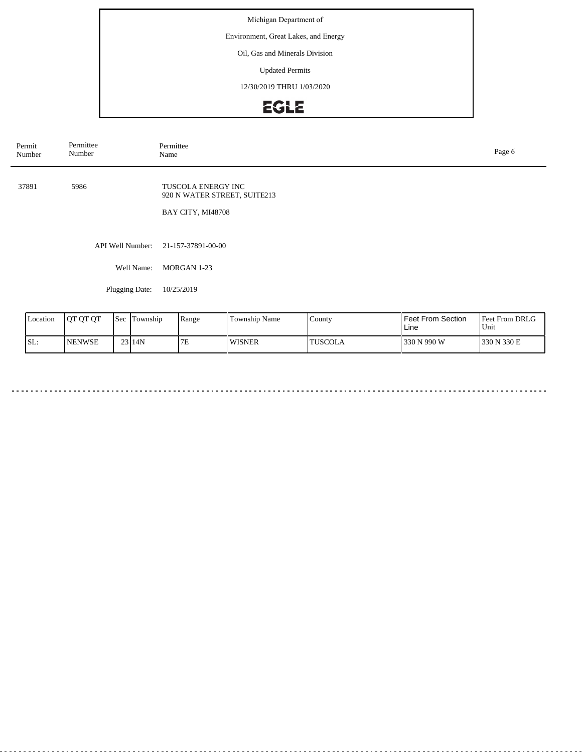Environment, Great Lakes, and Energy

#### Oil, Gas and Minerals Division

Updated Permits

12/30/2019 THRU 1/03/2020

# EGLE

| Permit<br>Number | Permittee<br>Number | Permittee<br>Name                                                              | Page 6 |
|------------------|---------------------|--------------------------------------------------------------------------------|--------|
| 37891            | 5986                | <b>TUSCOLA ENERGY INC</b><br>920 N WATER STREET, SUITE213<br>BAY CITY, MI48708 |        |
|                  |                     | API Well Number: 21-157-37891-00-00                                            |        |
|                  | Well Name:          | MORGAN 1-23                                                                    |        |
|                  | Plugging Date:      | 10/25/2019                                                                     |        |

| Location | <b>IOT OT OT</b> | Sec | Township | Range | $\mathbf{r}$<br>Township Name | County   | l Feet From Section<br>Line | <b>Feet From DRLG</b><br>Unit |
|----------|------------------|-----|----------|-------|-------------------------------|----------|-----------------------------|-------------------------------|
| ISL:     | <b>NENWSE</b>    |     | 23114N   | 7E    | <b>WISNER</b>                 | 'TUSCOLA | 330 N 990 W                 | 1330 N 330 E                  |

 $\sim$